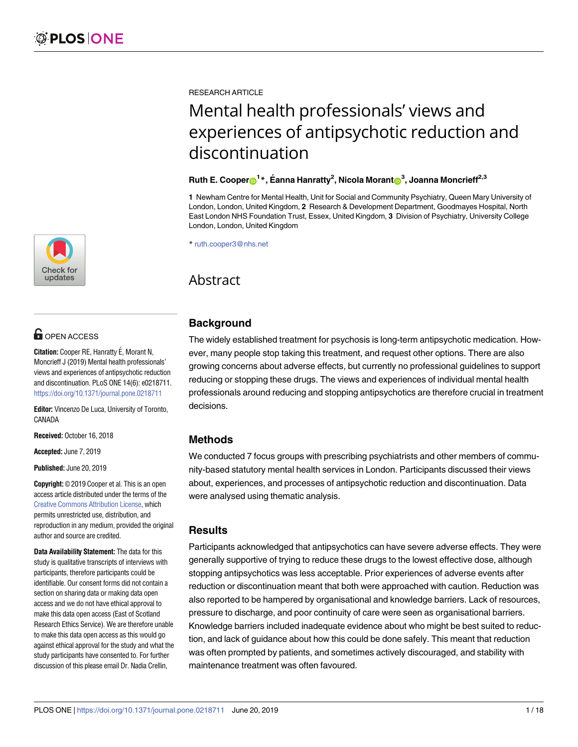

## **G** OPEN ACCESS

**Citation:** Cooper RE, Hanratty É, Morant N, Moncrieff J (2019) Mental health professionals' views and experiences of antipsychotic reduction and discontinuation. PLoS ONE 14(6): e0218711. <https://doi.org/10.1371/journal.pone.0218711>

**Editor:** Vincenzo De Luca, University of Toronto, **CANADA** 

**Received:** October 16, 2018

**Accepted:** June 7, 2019

**Published:** June 20, 2019

**Copyright:** © 2019 Cooper et al. This is an open access article distributed under the terms of the Creative Commons [Attribution](http://creativecommons.org/licenses/by/4.0/) License, which permits unrestricted use, distribution, and reproduction in any medium, provided the original author and source are credited.

**Data Availability Statement:** The data for this study is qualitative transcripts of interviews with participants, therefore participants could be identifiable. Our consent forms did not contain a section on sharing data or making data open access and we do not have ethical approval to make this data open access (East of Scotland Research Ethics Service). We are therefore unable to make this data open access as this would go against ethical approval for the study and what the study participants have consented to. For further discussion of this please email Dr. Nadia Crellin,

RESEARCH ARTICLE

# Mental health professionals' views and experiences of antipsychotic reduction and discontinuation

## $\mathbf{R}$ uth **E.** Cooper $\mathbf{C}^{1*}$ , Éanna Hanratty<sup>2</sup>, Nicola Morant $\mathbf{C}^{3}$ , Joanna Moncrieff<sup>2,3</sup>

**1** Newham Centre for Mental Health, Unit for Social and Community Psychiatry, Queen Mary University of London, London, United Kingdom, **2** Research & Development Department, Goodmayes Hospital, North East London NHS Foundation Trust, Essex, United Kingdom, **3** Division of Psychiatry, University College London, London, United Kingdom

\* ruth.cooper3@nhs.net

## Abstract

## **Background**

The widely established treatment for psychosis is long-term antipsychotic medication. However, many people stop taking this treatment, and request other options. There are also growing concerns about adverse effects, but currently no professional guidelines to support reducing or stopping these drugs. The views and experiences of individual mental health professionals around reducing and stopping antipsychotics are therefore crucial in treatment decisions.

## **Methods**

We conducted 7 focus groups with prescribing psychiatrists and other members of community-based statutory mental health services in London. Participants discussed their views about, experiences, and processes of antipsychotic reduction and discontinuation. Data were analysed using thematic analysis.

## **Results**

Participants acknowledged that antipsychotics can have severe adverse effects. They were generally supportive of trying to reduce these drugs to the lowest effective dose, although stopping antipsychotics was less acceptable. Prior experiences of adverse events after reduction or discontinuation meant that both were approached with caution. Reduction was also reported to be hampered by organisational and knowledge barriers. Lack of resources, pressure to discharge, and poor continuity of care were seen as organisational barriers. Knowledge barriers included inadequate evidence about who might be best suited to reduction, and lack of guidance about how this could be done safely. This meant that reduction was often prompted by patients, and sometimes actively discouraged, and stability with maintenance treatment was often favoured.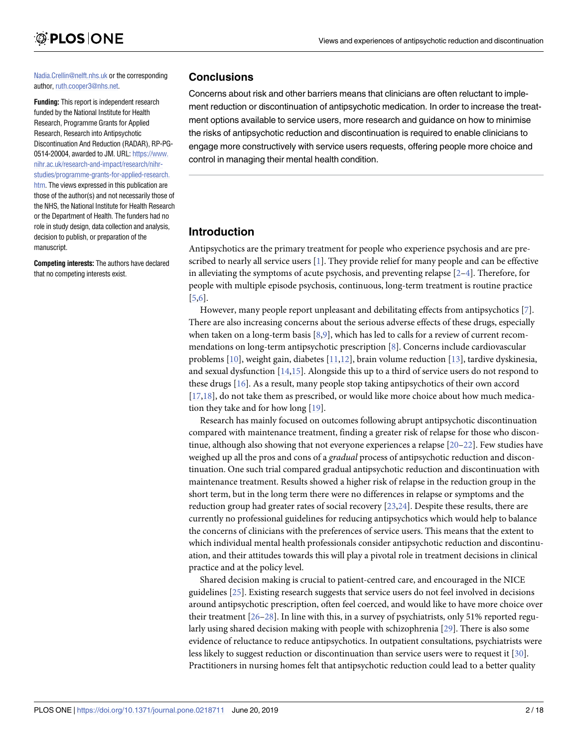<span id="page-1-0"></span>[Nadia.Crellin@nelft.nhs.uk](mailto:Nadia.Crellin@nelft.nhs.uk) or the corresponding author, [ruth.cooper3@nhs.net](mailto:ruth.cooper3@nhs.net).

**Funding:** This report is independent research funded by the National Institute for Health Research, Programme Grants for Applied Research, Research into Antipsychotic Discontinuation And Reduction (RADAR), RP-PG-0514-20004, awarded to JM. URL: [https://www.](https://www.nihr.ac.uk/research-and-impact/research/nihr-studies/programme-grants-for-applied-research.htm) [nihr.ac.uk/research-and-impact/research/nihr](https://www.nihr.ac.uk/research-and-impact/research/nihr-studies/programme-grants-for-applied-research.htm)[studies/programme-grants-for-applied-research.](https://www.nihr.ac.uk/research-and-impact/research/nihr-studies/programme-grants-for-applied-research.htm) [htm.](https://www.nihr.ac.uk/research-and-impact/research/nihr-studies/programme-grants-for-applied-research.htm) The views expressed in this publication are those of the author(s) and not necessarily those of the NHS, the National Institute for Health Research or the Department of Health. The funders had no role in study design, data collection and analysis, decision to publish, or preparation of the manuscript.

**Competing interests:** The authors have declared that no competing interests exist.

## **Conclusions**

Concerns about risk and other barriers means that clinicians are often reluctant to implement reduction or discontinuation of antipsychotic medication. In order to increase the treatment options available to service users, more research and guidance on how to minimise the risks of antipsychotic reduction and discontinuation is required to enable clinicians to engage more constructively with service users requests, offering people more choice and control in managing their mental health condition.

## **Introduction**

Antipsychotics are the primary treatment for people who experience psychosis and are prescribed to nearly all service users [\[1\]](#page-15-0). They provide relief for many people and can be effective in alleviating the symptoms of acute psychosis, and preventing relapse  $[2-4]$ . Therefore, for people with multiple episode psychosis, continuous, long-term treatment is routine practice [\[5,6](#page-15-0)].

However, many people report unpleasant and debilitating effects from antipsychotics [[7](#page-15-0)]. There are also increasing concerns about the serious adverse effects of these drugs, especially when taken on a long-term basis  $[8,9]$  $[8,9]$ , which has led to calls for a review of current recommendations on long-term antipsychotic prescription [[8](#page-15-0)]. Concerns include cardiovascular problems [\[10\]](#page-15-0), weight gain, diabetes [\[11](#page-15-0),[12](#page-15-0)], brain volume reduction [\[13\]](#page-15-0), tardive dyskinesia, and sexual dysfunction [\[14,15\]](#page-16-0). Alongside this up to a third of service users do not respond to these drugs [[16](#page-16-0)]. As a result, many people stop taking antipsychotics of their own accord [\[17,18\]](#page-16-0), do not take them as prescribed, or would like more choice about how much medication they take and for how long [\[19\]](#page-16-0).

Research has mainly focused on outcomes following abrupt antipsychotic discontinuation compared with maintenance treatment, finding a greater risk of relapse for those who discontinue, although also showing that not everyone experiences a relapse [[20–22\]](#page-16-0). Few studies have weighed up all the pros and cons of a *gradual* process of antipsychotic reduction and discontinuation. One such trial compared gradual antipsychotic reduction and discontinuation with maintenance treatment. Results showed a higher risk of relapse in the reduction group in the short term, but in the long term there were no differences in relapse or symptoms and the reduction group had greater rates of social recovery [\[23,24](#page-16-0)]. Despite these results, there are currently no professional guidelines for reducing antipsychotics which would help to balance the concerns of clinicians with the preferences of service users. This means that the extent to which individual mental health professionals consider antipsychotic reduction and discontinuation, and their attitudes towards this will play a pivotal role in treatment decisions in clinical practice and at the policy level.

Shared decision making is crucial to patient-centred care, and encouraged in the NICE guidelines [\[25\]](#page-16-0). Existing research suggests that service users do not feel involved in decisions around antipsychotic prescription, often feel coerced, and would like to have more choice over their treatment [[26](#page-16-0)–[28\]](#page-16-0). In line with this, in a survey of psychiatrists, only 51% reported regularly using shared decision making with people with schizophrenia [\[29\]](#page-16-0). There is also some evidence of reluctance to reduce antipsychotics. In outpatient consultations, psychiatrists were less likely to suggest reduction or discontinuation than service users were to request it [\[30\]](#page-16-0). Practitioners in nursing homes felt that antipsychotic reduction could lead to a better quality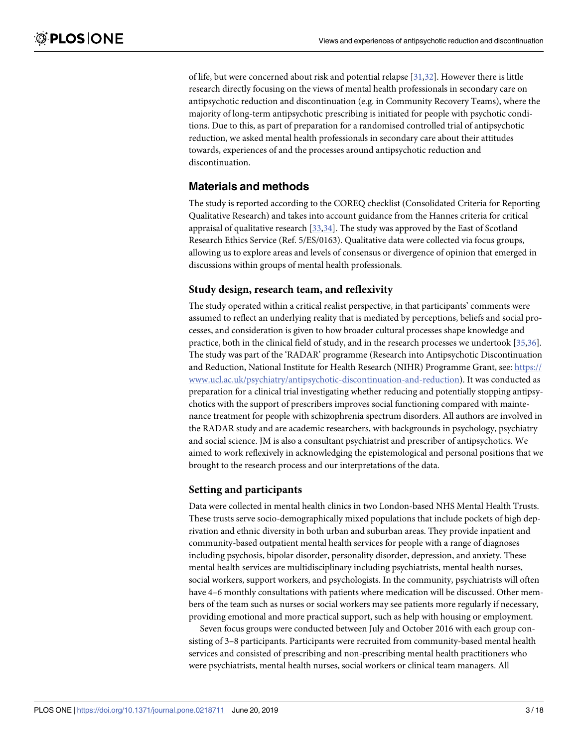<span id="page-2-0"></span>of life, but were concerned about risk and potential relapse [\[31,32](#page-16-0)]. However there is little research directly focusing on the views of mental health professionals in secondary care on antipsychotic reduction and discontinuation (e.g. in Community Recovery Teams), where the majority of long-term antipsychotic prescribing is initiated for people with psychotic conditions. Due to this, as part of preparation for a randomised controlled trial of antipsychotic reduction, we asked mental health professionals in secondary care about their attitudes towards, experiences of and the processes around antipsychotic reduction and discontinuation.

## **Materials and methods**

The study is reported according to the COREQ checklist (Consolidated Criteria for Reporting Qualitative Research) and takes into account guidance from the Hannes criteria for critical appraisal of qualitative research [[33](#page-16-0),[34](#page-16-0)]. The study was approved by the East of Scotland Research Ethics Service (Ref. 5/ES/0163). Qualitative data were collected via focus groups, allowing us to explore areas and levels of consensus or divergence of opinion that emerged in discussions within groups of mental health professionals.

## **Study design, research team, and reflexivity**

The study operated within a critical realist perspective, in that participants' comments were assumed to reflect an underlying reality that is mediated by perceptions, beliefs and social processes, and consideration is given to how broader cultural processes shape knowledge and practice, both in the clinical field of study, and in the research processes we undertook [\[35,36](#page-17-0)]. The study was part of the 'RADAR' programme (Research into Antipsychotic Discontinuation and Reduction, National Institute for Health Research (NIHR) Programme Grant, see: [https://](https://www.ucl.ac.uk/psychiatry/antipsychotic-discontinuation-and-reduction) [www.ucl.ac.uk/psychiatry/antipsychotic-discontinuation-and-reduction\)](https://www.ucl.ac.uk/psychiatry/antipsychotic-discontinuation-and-reduction). It was conducted as preparation for a clinical trial investigating whether reducing and potentially stopping antipsychotics with the support of prescribers improves social functioning compared with maintenance treatment for people with schizophrenia spectrum disorders. All authors are involved in the RADAR study and are academic researchers, with backgrounds in psychology, psychiatry and social science. JM is also a consultant psychiatrist and prescriber of antipsychotics. We aimed to work reflexively in acknowledging the epistemological and personal positions that we brought to the research process and our interpretations of the data.

## **Setting and participants**

Data were collected in mental health clinics in two London-based NHS Mental Health Trusts. These trusts serve socio-demographically mixed populations that include pockets of high deprivation and ethnic diversity in both urban and suburban areas. They provide inpatient and community-based outpatient mental health services for people with a range of diagnoses including psychosis, bipolar disorder, personality disorder, depression, and anxiety. These mental health services are multidisciplinary including psychiatrists, mental health nurses, social workers, support workers, and psychologists. In the community, psychiatrists will often have 4–6 monthly consultations with patients where medication will be discussed. Other members of the team such as nurses or social workers may see patients more regularly if necessary, providing emotional and more practical support, such as help with housing or employment.

Seven focus groups were conducted between July and October 2016 with each group consisting of 3–8 participants. Participants were recruited from community-based mental health services and consisted of prescribing and non-prescribing mental health practitioners who were psychiatrists, mental health nurses, social workers or clinical team managers. All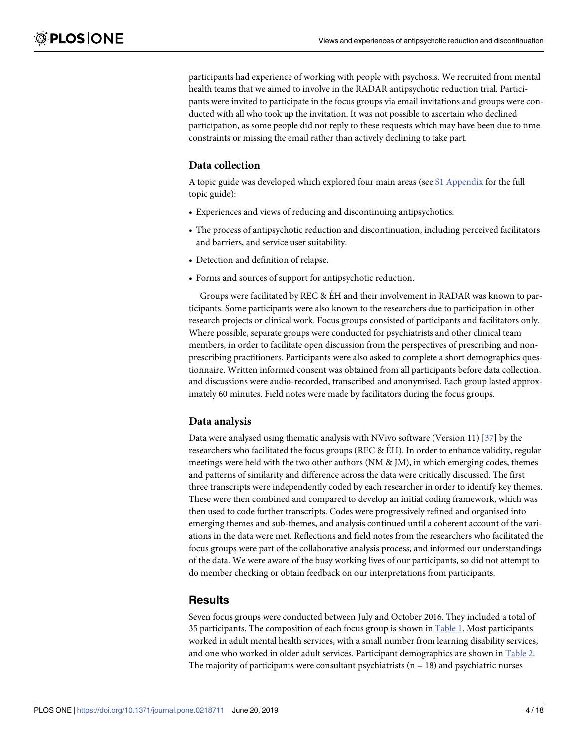<span id="page-3-0"></span>participants had experience of working with people with psychosis. We recruited from mental health teams that we aimed to involve in the RADAR antipsychotic reduction trial. Participants were invited to participate in the focus groups via email invitations and groups were conducted with all who took up the invitation. It was not possible to ascertain who declined participation, as some people did not reply to these requests which may have been due to time constraints or missing the email rather than actively declining to take part.

## **Data collection**

A topic guide was developed which explored four main areas (see S1 [Appendix](#page-14-0) for the full topic guide):

- Experiences and views of reducing and discontinuing antipsychotics.
- The process of antipsychotic reduction and discontinuation, including perceived facilitators and barriers, and service user suitability.
- Detection and definition of relapse.
- Forms and sources of support for antipsychotic reduction.

Groups were facilitated by REC & EH and their involvement in RADAR was known to participants. Some participants were also known to the researchers due to participation in other research projects or clinical work. Focus groups consisted of participants and facilitators only. Where possible, separate groups were conducted for psychiatrists and other clinical team members, in order to facilitate open discussion from the perspectives of prescribing and nonprescribing practitioners. Participants were also asked to complete a short demographics questionnaire. Written informed consent was obtained from all participants before data collection, and discussions were audio-recorded, transcribed and anonymised. Each group lasted approximately 60 minutes. Field notes were made by facilitators during the focus groups.

#### **Data analysis**

Data were analysed using thematic analysis with NVivo software (Version 11) [[37](#page-17-0)] by the researchers who facilitated the focus groups (REC  $\&$  EH). In order to enhance validity, regular meetings were held with the two other authors (NM & JM), in which emerging codes, themes and patterns of similarity and difference across the data were critically discussed. The first three transcripts were independently coded by each researcher in order to identify key themes. These were then combined and compared to develop an initial coding framework, which was then used to code further transcripts. Codes were progressively refined and organised into emerging themes and sub-themes, and analysis continued until a coherent account of the variations in the data were met. Reflections and field notes from the researchers who facilitated the focus groups were part of the collaborative analysis process, and informed our understandings of the data. We were aware of the busy working lives of our participants, so did not attempt to do member checking or obtain feedback on our interpretations from participants.

## **Results**

Seven focus groups were conducted between July and October 2016. They included a total of 35 participants. The composition of each focus group is shown in [Table](#page-4-0) 1. Most participants worked in adult mental health services, with a small number from learning disability services, and one who worked in older adult services. Participant demographics are shown in [Table](#page-4-0) 2. The majority of participants were consultant psychiatrists ( $n = 18$ ) and psychiatric nurses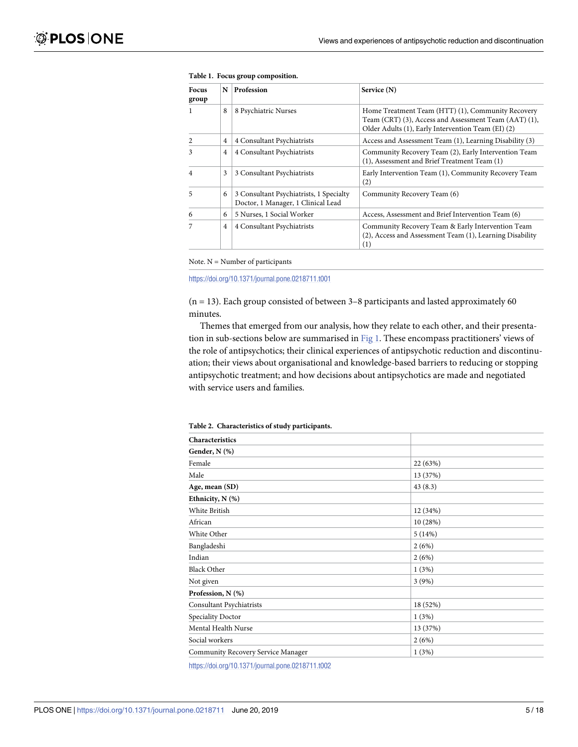<span id="page-4-0"></span>

| <b>Focus</b><br>group | N              | Profession                                                                    | Service (N)                                                                                                                                                      |  |
|-----------------------|----------------|-------------------------------------------------------------------------------|------------------------------------------------------------------------------------------------------------------------------------------------------------------|--|
|                       | 8              | 8 Psychiatric Nurses                                                          | Home Treatment Team (HTT) (1), Community Recovery<br>Team (CRT) (3), Access and Assessment Team (AAT) (1),<br>Older Adults (1), Early Intervention Team (EI) (2) |  |
|                       | $\overline{4}$ | 4 Consultant Psychiatrists                                                    | Access and Assessment Team (1), Learning Disability (3)                                                                                                          |  |
| 3                     | $\overline{4}$ | 4 Consultant Psychiatrists                                                    | Community Recovery Team (2), Early Intervention Team<br>(1), Assessment and Brief Treatment Team (1)                                                             |  |
| 4                     | 3              | 3 Consultant Psychiatrists                                                    | Early Intervention Team (1), Community Recovery Team<br>(2)                                                                                                      |  |
| 5                     | 6              | 3 Consultant Psychiatrists, 1 Specialty<br>Doctor, 1 Manager, 1 Clinical Lead | Community Recovery Team (6)                                                                                                                                      |  |
| 6                     | 6              | 5 Nurses, 1 Social Worker                                                     | Access, Assessment and Brief Intervention Team (6)                                                                                                               |  |
|                       | 4              | 4 Consultant Psychiatrists                                                    | Community Recovery Team & Early Intervention Team<br>(2), Access and Assessment Team (1), Learning Disability<br>(1)                                             |  |

#### **[Table](#page-3-0) 1. Focus group composition.**

Note. N = Number of participants

<https://doi.org/10.1371/journal.pone.0218711.t001>

(n = 13). Each group consisted of between 3–8 participants and lasted approximately 60 minutes.

Themes that emerged from our analysis, how they relate to each other, and their presentation in sub-sections below are summarised in [Fig](#page-5-0) 1. These encompass practitioners' views of the role of antipsychotics; their clinical experiences of antipsychotic reduction and discontinuation; their views about organisational and knowledge-based barriers to reducing or stopping antipsychotic treatment; and how decisions about antipsychotics are made and negotiated with service users and families.

| Characteristics                    |          |  |
|------------------------------------|----------|--|
| Gender, N (%)                      |          |  |
| Female                             | 22 (63%) |  |
| Male                               | 13 (37%) |  |
| Age, mean (SD)                     | 43(8.3)  |  |
| Ethnicity, N (%)                   |          |  |
| White British                      | 12 (34%) |  |
| African                            | 10 (28%) |  |
| White Other                        | 5(14%)   |  |
| Bangladeshi                        | 2(6%)    |  |
| Indian                             | 2(6%)    |  |
| <b>Black Other</b>                 | 1(3%)    |  |
| Not given                          | 3(9%)    |  |
| Profession, N (%)                  |          |  |
| Consultant Psychiatrists           | 18 (52%) |  |
| Speciality Doctor                  | 1(3%)    |  |
| Mental Health Nurse                | 13 (37%) |  |
| Social workers                     | 2(6%)    |  |
| Community Recovery Service Manager | 1(3%)    |  |
|                                    |          |  |

**[Table](#page-3-0) 2. Characteristics of study participants.**

<https://doi.org/10.1371/journal.pone.0218711.t002>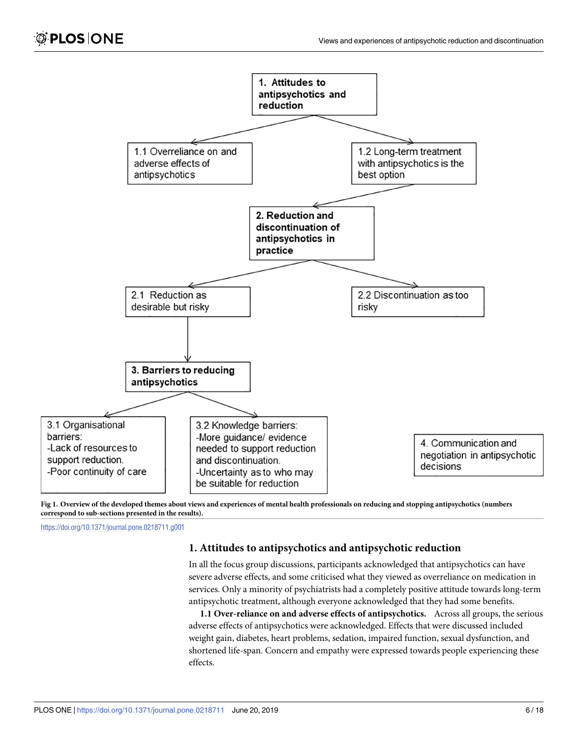<span id="page-5-0"></span>

[Fig](#page-4-0) 1. Overview of the developed themes about views and experiences of mental health professionals on reducing and stopping antipsychotics (numbers **correspond to sub-sections presented in the results).**

<https://doi.org/10.1371/journal.pone.0218711.g001>

#### **1. Attitudes to antipsychotics and antipsychotic reduction**

In all the focus group discussions, participants acknowledged that antipsychotics can have severe adverse effects, and some criticised what they viewed as overreliance on medication in services. Only a minority of psychiatrists had a completely positive attitude towards long-term antipsychotic treatment, although everyone acknowledged that they had some benefits.

**1.1 Over-reliance on and adverse effects of antipsychotics.** Across all groups, the serious adverse effects of antipsychotics were acknowledged. Effects that were discussed included weight gain, diabetes, heart problems, sedation, impaired function, sexual dysfunction, and shortened life-span. Concern and empathy were expressed towards people experiencing these effects.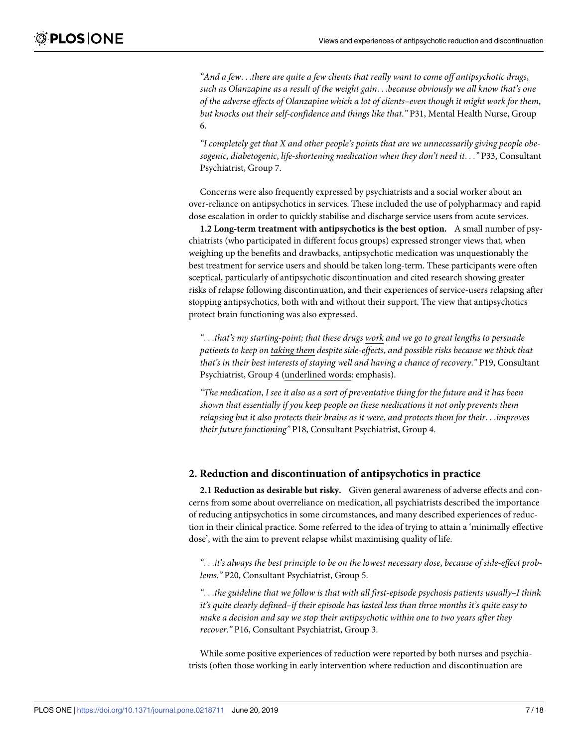*"And a few*. . .*there are quite a few clients that really want to come off antipsychotic drugs*, *such as Olanzapine as a result of the weight gain*. . .*because obviously we all know that's one of the adverse effects of Olanzapine which a lot of clients–even though it might work for them*, *but knocks out their self-confidence and things like that*.*"* P31, Mental Health Nurse, Group 6.

*"I completely get that X and other people's points that are we unnecessarily giving people obesogenic*, *diabetogenic*, *life-shortening medication when they don't need it*. . .*"* P33, Consultant Psychiatrist, Group 7.

Concerns were also frequently expressed by psychiatrists and a social worker about an over-reliance on antipsychotics in services. These included the use of polypharmacy and rapid dose escalation in order to quickly stabilise and discharge service users from acute services.

**1.2 Long-term treatment with antipsychotics is the best option.** A small number of psychiatrists (who participated in different focus groups) expressed stronger views that, when weighing up the benefits and drawbacks, antipsychotic medication was unquestionably the best treatment for service users and should be taken long-term. These participants were often sceptical, particularly of antipsychotic discontinuation and cited research showing greater risks of relapse following discontinuation, and their experiences of service-users relapsing after stopping antipsychotics, both with and without their support. The view that antipsychotics protect brain functioning was also expressed.

*"*. . .*that's my starting-point; that these drugs work and we go to great lengths to persuade patients to keep on taking them despite side-effects*, *and possible risks because we think that that's in their best interests of staying well and having a chance of recovery*.*"* P19, Consultant Psychiatrist, Group 4 (underlined words: emphasis).

"The medication, I see it also as a sort of preventative thing for the future and it has been *shown that essentially if you keep people on these medications it not only prevents them relapsing but it also protects their brains as it were*, *and protects them for their*. . .*improves their future functioning"* P18, Consultant Psychiatrist, Group 4.

### **2. Reduction and discontinuation of antipsychotics in practice**

**2.1 Reduction as desirable but risky.** Given general awareness of adverse effects and concerns from some about overreliance on medication, all psychiatrists described the importance of reducing antipsychotics in some circumstances, and many described experiences of reduction in their clinical practice. Some referred to the idea of trying to attain a 'minimally effective dose', with the aim to prevent relapse whilst maximising quality of life.

*"*. . .*it's always the best principle to be on the lowest necessary dose*, *because of side-effect problems*.*"* P20, Consultant Psychiatrist, Group 5.

*"*. . .*the guideline that we follow is that with all first-episode psychosis patients usually–I think it's quite clearly defined–if their episode has lasted less than three months it's quite easy to make a decision and say we stop their antipsychotic within one to two years after they recover*.*"* P16, Consultant Psychiatrist, Group 3.

While some positive experiences of reduction were reported by both nurses and psychiatrists (often those working in early intervention where reduction and discontinuation are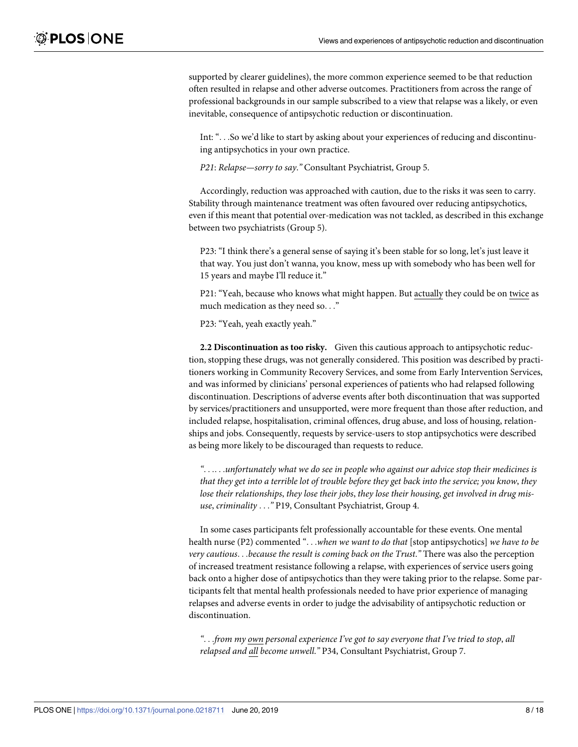supported by clearer guidelines), the more common experience seemed to be that reduction often resulted in relapse and other adverse outcomes. Practitioners from across the range of professional backgrounds in our sample subscribed to a view that relapse was a likely, or even inevitable, consequence of antipsychotic reduction or discontinuation.

Int: ". . .So we'd like to start by asking about your experiences of reducing and discontinuing antipsychotics in your own practice.

*P21*: *Relapse—sorry to say*.*"* Consultant Psychiatrist, Group 5.

Accordingly, reduction was approached with caution, due to the risks it was seen to carry. Stability through maintenance treatment was often favoured over reducing antipsychotics, even if this meant that potential over-medication was not tackled, as described in this exchange between two psychiatrists (Group 5).

P23: "I think there's a general sense of saying it's been stable for so long, let's just leave it that way. You just don't wanna, you know, mess up with somebody who has been well for 15 years and maybe I'll reduce it."

P21: "Yeah, because who knows what might happen. But actually they could be on twice as much medication as they need so. . ."

P23: "Yeah, yeah exactly yeah."

**2.2 Discontinuation as too risky.** Given this cautious approach to antipsychotic reduction, stopping these drugs, was not generally considered. This position was described by practitioners working in Community Recovery Services, and some from Early Intervention Services, and was informed by clinicians' personal experiences of patients who had relapsed following discontinuation. Descriptions of adverse events after both discontinuation that was supported by services/practitioners and unsupported, were more frequent than those after reduction, and included relapse, hospitalisation, criminal offences, drug abuse, and loss of housing, relationships and jobs. Consequently, requests by service-users to stop antipsychotics were described as being more likely to be discouraged than requests to reduce.

*"*. . .. . .*unfortunately what we do see in people who against our advice stop their medicines is* that they get into a terrible lot of trouble before they get back into the service; you know, they *lose their relationships*, *they lose their jobs*, *they lose their housing*, *get involved in drug misuse*, *criminality* . . .*"* P19, Consultant Psychiatrist, Group 4.

In some cases participants felt professionally accountable for these events. One mental health nurse (P2) commented ". . .*when we want to do that* [stop antipsychotics] *we have to be very cautious*. . .*because the result is coming back on the Trust*.*"* There was also the perception of increased treatment resistance following a relapse, with experiences of service users going back onto a higher dose of antipsychotics than they were taking prior to the relapse. Some participants felt that mental health professionals needed to have prior experience of managing relapses and adverse events in order to judge the advisability of antipsychotic reduction or discontinuation.

*"*. . .*from my own personal experience I've got to say everyone that I've tried to stop*, *all relapsed and all become unwell*.*"* P34, Consultant Psychiatrist, Group 7.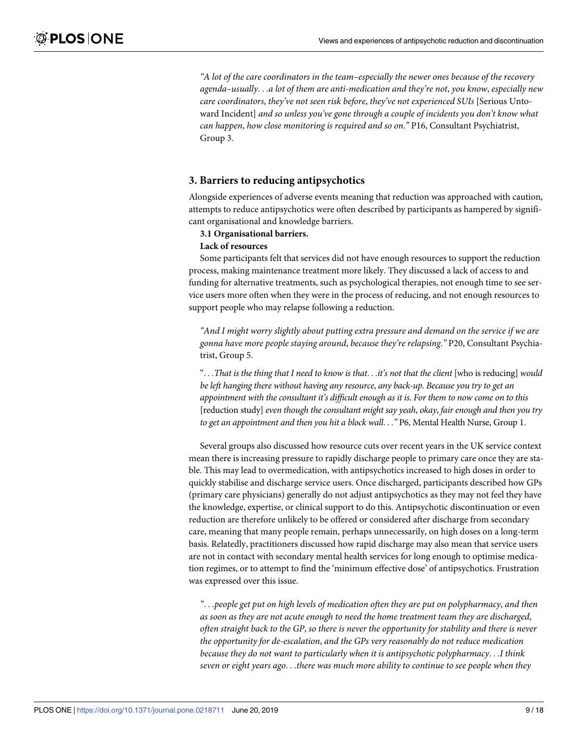*"A lot of the care coordinators in the team–especially the newer ones because of the recovery agenda–usually*. . .*a lot of them are anti-medication and they're not*, *you know*, *especially new care coordinators*, *they've not seen risk before*, *they've not experienced SUIs* [Serious Untoward Incident] *and so unless you've gone through a couple of incidents you don't know what can happen*, *how close monitoring is required and so on*.*"* P16, Consultant Psychiatrist, Group 3.

#### **3. Barriers to reducing antipsychotics**

Alongside experiences of adverse events meaning that reduction was approached with caution, attempts to reduce antipsychotics were often described by participants as hampered by significant organisational and knowledge barriers.

#### **3.1 Organisational barriers.**

#### **Lack of resources**

Some participants felt that services did not have enough resources to support the reduction process, making maintenance treatment more likely. They discussed a lack of access to and funding for alternative treatments, such as psychological therapies, not enough time to see service users more often when they were in the process of reducing, and not enough resources to support people who may relapse following a reduction.

*"And I might worry slightly about putting extra pressure and demand on the service if we are gonna have more people staying around*, *because they're relapsing*.*"* P20, Consultant Psychiatrist, Group 5.

". . .*That is the thing that I need to know is that*. . .*it's not that the client* [who is reducing] *would be left hanging there without having any resource*, *any back-up*. *Because you try to get an appointment with the consultant it's difficult enough as it is*. *For them to now come on to this* [reduction study] *even though the consultant might say yeah*, *okay*, *fair enough and then you try to get an appointment and then you hit a block wall*. . .*"* P6, Mental Health Nurse, Group 1.

Several groups also discussed how resource cuts over recent years in the UK service context mean there is increasing pressure to rapidly discharge people to primary care once they are stable. This may lead to overmedication, with antipsychotics increased to high doses in order to quickly stabilise and discharge service users. Once discharged, participants described how GPs (primary care physicians) generally do not adjust antipsychotics as they may not feel they have the knowledge, expertise, or clinical support to do this. Antipsychotic discontinuation or even reduction are therefore unlikely to be offered or considered after discharge from secondary care, meaning that many people remain, perhaps unnecessarily, on high doses on a long-term basis. Relatedly, practitioners discussed how rapid discharge may also mean that service users are not in contact with secondary mental health services for long enough to optimise medication regimes, or to attempt to find the 'minimum effective dose' of antipsychotics. Frustration was expressed over this issue.

*"*. . .*people get put on high levels of medication often they are put on polypharmacy*, *and then as soon as they are not acute enough to need the home treatment team they are discharged*, *often straight back to the GP*, *so there is never the opportunity for stability and there is never the opportunity for de-escalation*, *and the GPs very reasonably do not reduce medication because they do not want to particularly when it is antipsychotic polypharmacy*. . .*I think seven or eight years ago*. . .*there was much more ability to continue to see people when they*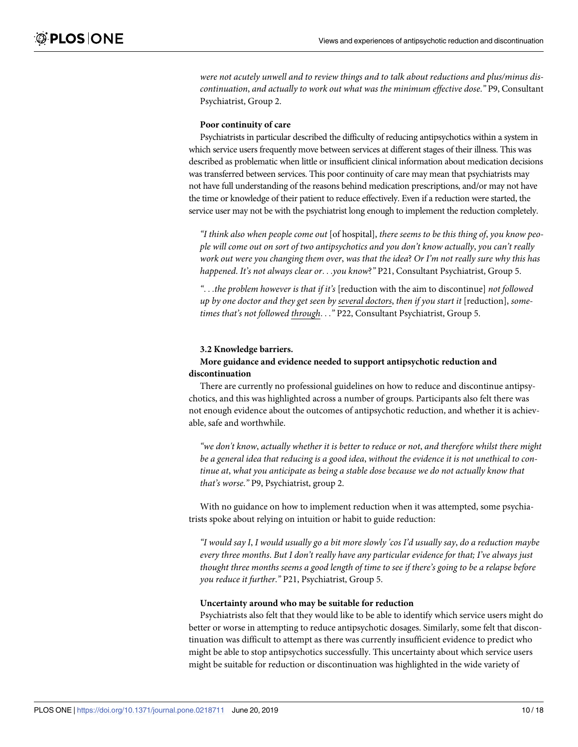*were not acutely unwell and to review things and to talk about reductions and plus/minus discontinuation*, *and actually to work out what was the minimum effective dose*.*"* P9, Consultant Psychiatrist, Group 2.

#### **Poor continuity of care**

Psychiatrists in particular described the difficulty of reducing antipsychotics within a system in which service users frequently move between services at different stages of their illness. This was described as problematic when little or insufficient clinical information about medication decisions was transferred between services. This poor continuity of care may mean that psychiatrists may not have full understanding of the reasons behind medication prescriptions, and/or may not have the time or knowledge of their patient to reduce effectively. Even if a reduction were started, the service user may not be with the psychiatrist long enough to implement the reduction completely.

*"I think also when people come out* [of hospital], *there seems to be this thing of*, *you know people will come out on sort of two antipsychotics and you don't know actually*, *you can't really* work out were you changing them over, was that the idea? Or I'm not really sure why this has *happened*. *It's not always clear or*. . .*you know*?*"* P21, Consultant Psychiatrist, Group 5.

*"*. . .*the problem however is that if it's* [reduction with the aim to discontinue] *not followed up by one doctor and they get seen by several doctors*, *then if you start it* [reduction], *sometimes that's not followed through*. . .*"* P22, Consultant Psychiatrist, Group 5.

#### **3.2 Knowledge barriers.**

#### **More guidance and evidence needed to support antipsychotic reduction and discontinuation**

There are currently no professional guidelines on how to reduce and discontinue antipsychotics, and this was highlighted across a number of groups. Participants also felt there was not enough evidence about the outcomes of antipsychotic reduction, and whether it is achievable, safe and worthwhile.

*"we don't know*, *actually whether it is better to reduce or not*, *and therefore whilst there might* be a general idea that reducing is a good idea, without the evidence it is not unethical to con*tinue at*, *what you anticipate as being a stable dose because we do not actually know that that's worse*.*"* P9, Psychiatrist, group 2.

With no guidance on how to implement reduction when it was attempted, some psychiatrists spoke about relying on intuition or habit to guide reduction:

"I would say I, I would usually go a bit more slowly 'cos I'd usually say, do a reduction maybe *every three months*. *But I don't really have any particular evidence for that; I've always just* thought three months seems a good length of time to see if there's going to be a relapse before *you reduce it further*.*"* P21, Psychiatrist, Group 5.

#### **Uncertainty around who may be suitable for reduction**

Psychiatrists also felt that they would like to be able to identify which service users might do better or worse in attempting to reduce antipsychotic dosages. Similarly, some felt that discontinuation was difficult to attempt as there was currently insufficient evidence to predict who might be able to stop antipsychotics successfully. This uncertainty about which service users might be suitable for reduction or discontinuation was highlighted in the wide variety of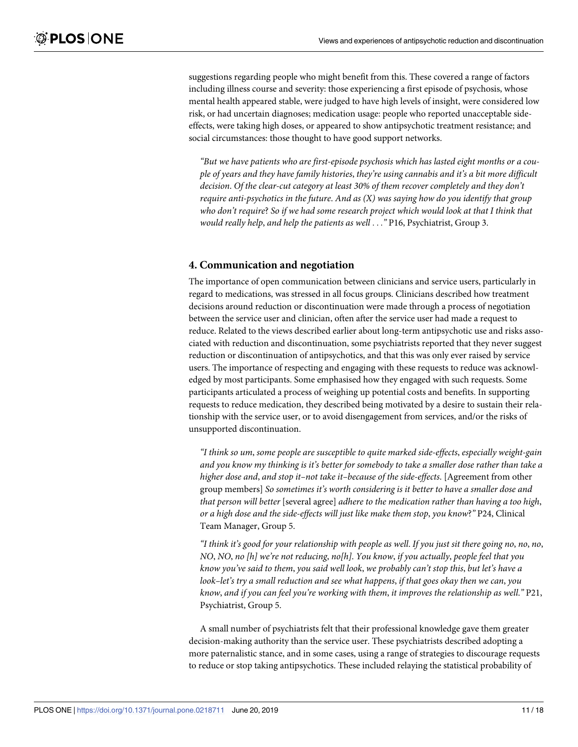suggestions regarding people who might benefit from this. These covered a range of factors including illness course and severity: those experiencing a first episode of psychosis, whose mental health appeared stable, were judged to have high levels of insight, were considered low risk, or had uncertain diagnoses; medication usage: people who reported unacceptable sideeffects, were taking high doses, or appeared to show antipsychotic treatment resistance; and social circumstances: those thought to have good support networks.

*"But we have patients who are first-episode psychosis which has lasted eight months or a couple of years and they have family histories*, *they're using cannabis and it's a bit more difficult decision*. *Of the clear-cut category at least 30% of them recover completely and they don't require anti-psychotics in the future*. *And as (X) was saying how do you identify that group who don't require*? *So if we had some research project which would look at that I think that would really help*, *and help the patients as well* . . .*"* P16, Psychiatrist, Group 3.

## **4. Communication and negotiation**

The importance of open communication between clinicians and service users, particularly in regard to medications, was stressed in all focus groups. Clinicians described how treatment decisions around reduction or discontinuation were made through a process of negotiation between the service user and clinician, often after the service user had made a request to reduce. Related to the views described earlier about long-term antipsychotic use and risks associated with reduction and discontinuation, some psychiatrists reported that they never suggest reduction or discontinuation of antipsychotics, and that this was only ever raised by service users. The importance of respecting and engaging with these requests to reduce was acknowledged by most participants. Some emphasised how they engaged with such requests. Some participants articulated a process of weighing up potential costs and benefits. In supporting requests to reduce medication, they described being motivated by a desire to sustain their relationship with the service user, or to avoid disengagement from services, and/or the risks of unsupported discontinuation.

*"I think so um*, *some people are susceptible to quite marked side-effects*, *especially weight-gain* and you know my thinking is it's better for somebody to take a smaller dose rather than take a *higher dose and*, *and stop it–not take it–because of the side-effects*. [Agreement from other group members] *So sometimes it's worth considering is it better to have a smaller dose and that person will better* [several agree] *adhere to the medication rather than having a too high*, *or a high dose and the side-effects will just like make them stop*, *you know*?*"* P24, Clinical Team Manager, Group 5.

"I think it's good for your relationship with people as well. If you just sit there going no, no, no, *NO*, *NO*, *no [h] we're not reducing*, *no[h]*. *You know*, *if you actually*, *people feel that you know you've said to them*, *you said well look*, *we probably can't stop this*, *but let's have a look–let's try a small reduction and see what happens*, *if that goes okay then we can*, *you know*, *and if you can feel you're working with them*, *it improves the relationship as well*.*"* P21, Psychiatrist, Group 5.

A small number of psychiatrists felt that their professional knowledge gave them greater decision-making authority than the service user. These psychiatrists described adopting a more paternalistic stance, and in some cases, using a range of strategies to discourage requests to reduce or stop taking antipsychotics. These included relaying the statistical probability of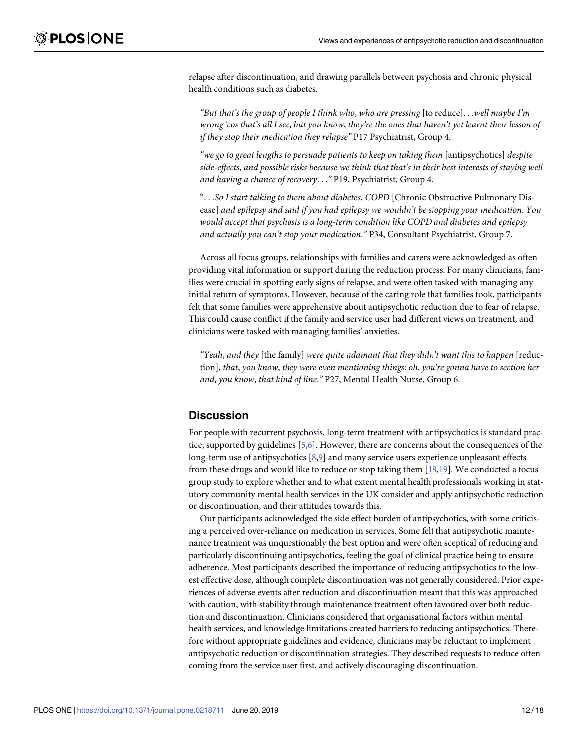relapse after discontinuation, and drawing parallels between psychosis and chronic physical health conditions such as diabetes.

*"But that's the group of people I think who*, *who are pressing* [to reduce]. . .*well maybe I'm* wrong 'cos that's all I see, but you know, they're the ones that haven't yet learnt their lesson of *if they stop their medication they relapse"* P17 Psychiatrist, Group 4.

*"we go to great lengths to persuade patients to keep on taking them* [antipsychotics] *despite side-effects*, *and possible risks because we think that that's in their best interests of staying well and having a chance of recovery*. . .*"* P19, Psychiatrist, Group 4.

". . .*So I start talking to them about diabetes*, *COPD* [Chronic Obstructive Pulmonary Disease] *and epilepsy and said if you had epilepsy we wouldn't be stopping your medication*. *You would accept that psychosis is a long-term condition like COPD and diabetes and epilepsy and actually you can't stop your medication*.*"* P34, Consultant Psychiatrist, Group 7.

Across all focus groups, relationships with families and carers were acknowledged as often providing vital information or support during the reduction process. For many clinicians, families were crucial in spotting early signs of relapse, and were often tasked with managing any initial return of symptoms. However, because of the caring role that families took, participants felt that some families were apprehensive about antipsychotic reduction due to fear of relapse. This could cause conflict if the family and service user had different views on treatment, and clinicians were tasked with managing families' anxieties.

*"Yeah*, *and they* [the family] *were quite adamant that they didn't want this to happen* [reduction], *that*, *you know*, *they were even mentioning things*: *oh*, *you're gonna have to section her and*, *you know*, *that kind of line*.*"* P27, Mental Health Nurse, Group 6.

## **Discussion**

For people with recurrent psychosis, long-term treatment with antipsychotics is standard practice, supported by guidelines [\[5,6](#page-15-0)]. However, there are concerns about the consequences of the long-term use of antipsychotics [\[8,9](#page-15-0)] and many service users experience unpleasant effects from these drugs and would like to reduce or stop taking them  $[18,19]$ . We conducted a focus group study to explore whether and to what extent mental health professionals working in statutory community mental health services in the UK consider and apply antipsychotic reduction or discontinuation, and their attitudes towards this.

Our participants acknowledged the side effect burden of antipsychotics, with some criticising a perceived over-reliance on medication in services. Some felt that antipsychotic maintenance treatment was unquestionably the best option and were often sceptical of reducing and particularly discontinuing antipsychotics, feeling the goal of clinical practice being to ensure adherence. Most participants described the importance of reducing antipsychotics to the lowest effective dose, although complete discontinuation was not generally considered. Prior experiences of adverse events after reduction and discontinuation meant that this was approached with caution, with stability through maintenance treatment often favoured over both reduction and discontinuation. Clinicians considered that organisational factors within mental health services, and knowledge limitations created barriers to reducing antipsychotics. Therefore without appropriate guidelines and evidence, clinicians may be reluctant to implement antipsychotic reduction or discontinuation strategies. They described requests to reduce often coming from the service user first, and actively discouraging discontinuation.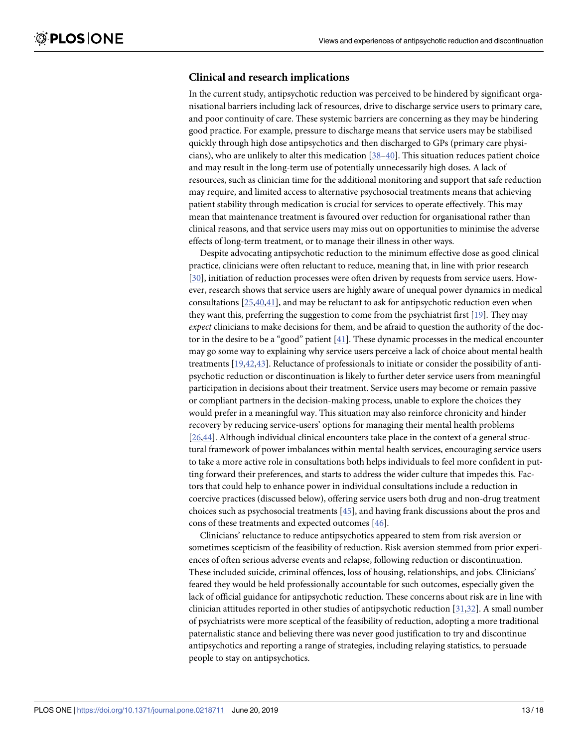#### <span id="page-12-0"></span>**Clinical and research implications**

In the current study, antipsychotic reduction was perceived to be hindered by significant organisational barriers including lack of resources, drive to discharge service users to primary care, and poor continuity of care. These systemic barriers are concerning as they may be hindering good practice. For example, pressure to discharge means that service users may be stabilised quickly through high dose antipsychotics and then discharged to GPs (primary care physicians), who are unlikely to alter this medication  $[38-40]$ . This situation reduces patient choice and may result in the long-term use of potentially unnecessarily high doses. A lack of resources, such as clinician time for the additional monitoring and support that safe reduction may require, and limited access to alternative psychosocial treatments means that achieving patient stability through medication is crucial for services to operate effectively. This may mean that maintenance treatment is favoured over reduction for organisational rather than clinical reasons, and that service users may miss out on opportunities to minimise the adverse effects of long-term treatment, or to manage their illness in other ways.

Despite advocating antipsychotic reduction to the minimum effective dose as good clinical practice, clinicians were often reluctant to reduce, meaning that, in line with prior research [\[30\]](#page-16-0), initiation of reduction processes were often driven by requests from service users. However, research shows that service users are highly aware of unequal power dynamics in medical consultations [[25](#page-16-0),[40,41\]](#page-17-0), and may be reluctant to ask for antipsychotic reduction even when they want this, preferring the suggestion to come from the psychiatrist first [\[19\]](#page-16-0). They may *expect* clinicians to make decisions for them, and be afraid to question the authority of the doctor in the desire to be a "good" patient  $[41]$  $[41]$  $[41]$ . These dynamic processes in the medical encounter may go some way to explaining why service users perceive a lack of choice about mental health treatments [\[19](#page-16-0)[,42,43](#page-17-0)]. Reluctance of professionals to initiate or consider the possibility of antipsychotic reduction or discontinuation is likely to further deter service users from meaningful participation in decisions about their treatment. Service users may become or remain passive or compliant partners in the decision-making process, unable to explore the choices they would prefer in a meaningful way. This situation may also reinforce chronicity and hinder recovery by reducing service-users' options for managing their mental health problems [\[26](#page-16-0)[,44\]](#page-17-0). Although individual clinical encounters take place in the context of a general structural framework of power imbalances within mental health services, encouraging service users to take a more active role in consultations both helps individuals to feel more confident in putting forward their preferences, and starts to address the wider culture that impedes this. Factors that could help to enhance power in individual consultations include a reduction in coercive practices (discussed below), offering service users both drug and non-drug treatment choices such as psychosocial treatments [\[45\]](#page-17-0), and having frank discussions about the pros and cons of these treatments and expected outcomes [\[46\]](#page-17-0).

Clinicians' reluctance to reduce antipsychotics appeared to stem from risk aversion or sometimes scepticism of the feasibility of reduction. Risk aversion stemmed from prior experiences of often serious adverse events and relapse, following reduction or discontinuation. These included suicide, criminal offences, loss of housing, relationships, and jobs. Clinicians' feared they would be held professionally accountable for such outcomes, especially given the lack of official guidance for antipsychotic reduction. These concerns about risk are in line with clinician attitudes reported in other studies of antipsychotic reduction [[31](#page-16-0),[32](#page-16-0)]. A small number of psychiatrists were more sceptical of the feasibility of reduction, adopting a more traditional paternalistic stance and believing there was never good justification to try and discontinue antipsychotics and reporting a range of strategies, including relaying statistics, to persuade people to stay on antipsychotics.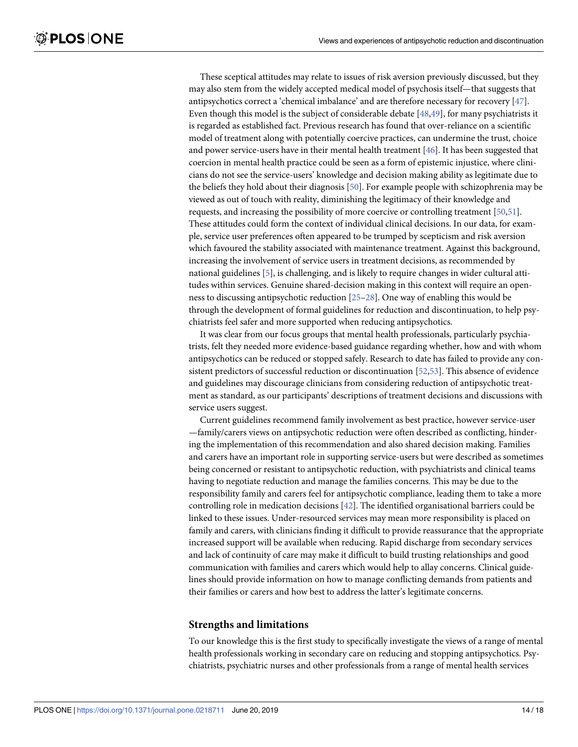<span id="page-13-0"></span>These sceptical attitudes may relate to issues of risk aversion previously discussed, but they may also stem from the widely accepted medical model of psychosis itself—that suggests that antipsychotics correct a 'chemical imbalance' and are therefore necessary for recovery [[47](#page-17-0)]. Even though this model is the subject of considerable debate [[48](#page-17-0),[49](#page-17-0)], for many psychiatrists it is regarded as established fact. Previous research has found that over-reliance on a scientific model of treatment along with potentially coercive practices, can undermine the trust, choice and power service-users have in their mental health treatment [\[46\]](#page-17-0). It has been suggested that coercion in mental health practice could be seen as a form of epistemic injustice, where clinicians do not see the service-users' knowledge and decision making ability as legitimate due to the beliefs they hold about their diagnosis [[50](#page-17-0)]. For example people with schizophrenia may be viewed as out of touch with reality, diminishing the legitimacy of their knowledge and requests, and increasing the possibility of more coercive or controlling treatment [\[50,51](#page-17-0)]. These attitudes could form the context of individual clinical decisions. In our data, for example, service user preferences often appeared to be trumped by scepticism and risk aversion which favoured the stability associated with maintenance treatment. Against this background, increasing the involvement of service users in treatment decisions, as recommended by national guidelines [\[5\]](#page-15-0), is challenging, and is likely to require changes in wider cultural attitudes within services. Genuine shared-decision making in this context will require an openness to discussing antipsychotic reduction [[25–28\]](#page-16-0). One way of enabling this would be through the development of formal guidelines for reduction and discontinuation, to help psychiatrists feel safer and more supported when reducing antipsychotics.

It was clear from our focus groups that mental health professionals, particularly psychiatrists, felt they needed more evidence-based guidance regarding whether, how and with whom antipsychotics can be reduced or stopped safely. Research to date has failed to provide any consistent predictors of successful reduction or discontinuation [[52,53\]](#page-17-0). This absence of evidence and guidelines may discourage clinicians from considering reduction of antipsychotic treatment as standard, as our participants' descriptions of treatment decisions and discussions with service users suggest.

Current guidelines recommend family involvement as best practice, however service-user —family/carers views on antipsychotic reduction were often described as conflicting, hindering the implementation of this recommendation and also shared decision making. Families and carers have an important role in supporting service-users but were described as sometimes being concerned or resistant to antipsychotic reduction, with psychiatrists and clinical teams having to negotiate reduction and manage the families concerns. This may be due to the responsibility family and carers feel for antipsychotic compliance, leading them to take a more controlling role in medication decisions [\[42\]](#page-17-0). The identified organisational barriers could be linked to these issues. Under-resourced services may mean more responsibility is placed on family and carers, with clinicians finding it difficult to provide reassurance that the appropriate increased support will be available when reducing. Rapid discharge from secondary services and lack of continuity of care may make it difficult to build trusting relationships and good communication with families and carers which would help to allay concerns. Clinical guidelines should provide information on how to manage conflicting demands from patients and their families or carers and how best to address the latter's legitimate concerns.

#### **Strengths and limitations**

To our knowledge this is the first study to specifically investigate the views of a range of mental health professionals working in secondary care on reducing and stopping antipsychotics. Psychiatrists, psychiatric nurses and other professionals from a range of mental health services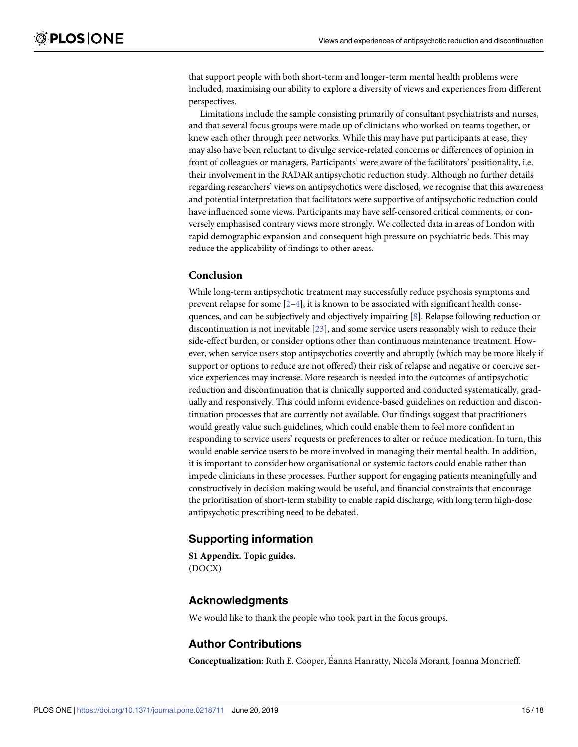<span id="page-14-0"></span>that support people with both short-term and longer-term mental health problems were included, maximising our ability to explore a diversity of views and experiences from different perspectives.

Limitations include the sample consisting primarily of consultant psychiatrists and nurses, and that several focus groups were made up of clinicians who worked on teams together, or knew each other through peer networks. While this may have put participants at ease, they may also have been reluctant to divulge service-related concerns or differences of opinion in front of colleagues or managers. Participants' were aware of the facilitators' positionality, i.e. their involvement in the RADAR antipsychotic reduction study. Although no further details regarding researchers' views on antipsychotics were disclosed, we recognise that this awareness and potential interpretation that facilitators were supportive of antipsychotic reduction could have influenced some views. Participants may have self-censored critical comments, or conversely emphasised contrary views more strongly. We collected data in areas of London with rapid demographic expansion and consequent high pressure on psychiatric beds. This may reduce the applicability of findings to other areas.

## **Conclusion**

While long-term antipsychotic treatment may successfully reduce psychosis symptoms and prevent relapse for some  $[2-4]$ , it is known to be associated with significant health consequences, and can be subjectively and objectively impairing [[8](#page-15-0)]. Relapse following reduction or discontinuation is not inevitable [\[23\]](#page-16-0), and some service users reasonably wish to reduce their side-effect burden, or consider options other than continuous maintenance treatment. However, when service users stop antipsychotics covertly and abruptly (which may be more likely if support or options to reduce are not offered) their risk of relapse and negative or coercive service experiences may increase. More research is needed into the outcomes of antipsychotic reduction and discontinuation that is clinically supported and conducted systematically, gradually and responsively. This could inform evidence-based guidelines on reduction and discontinuation processes that are currently not available. Our findings suggest that practitioners would greatly value such guidelines, which could enable them to feel more confident in responding to service users' requests or preferences to alter or reduce medication. In turn, this would enable service users to be more involved in managing their mental health. In addition, it is important to consider how organisational or systemic factors could enable rather than impede clinicians in these processes. Further support for engaging patients meaningfully and constructively in decision making would be useful, and financial constraints that encourage the prioritisation of short-term stability to enable rapid discharge, with long term high-dose antipsychotic prescribing need to be debated.

## **Supporting information**

**S1 [Appendix](http://www.plosone.org/article/fetchSingleRepresentation.action?uri=info:doi/10.1371/journal.pone.0218711.s001). Topic guides.** (DOCX)

## **Acknowledgments**

We would like to thank the people who took part in the focus groups.

## **Author Contributions**

**Conceptualization:** Ruth E. Cooper, E´anna Hanratty, Nicola Morant, Joanna Moncrieff.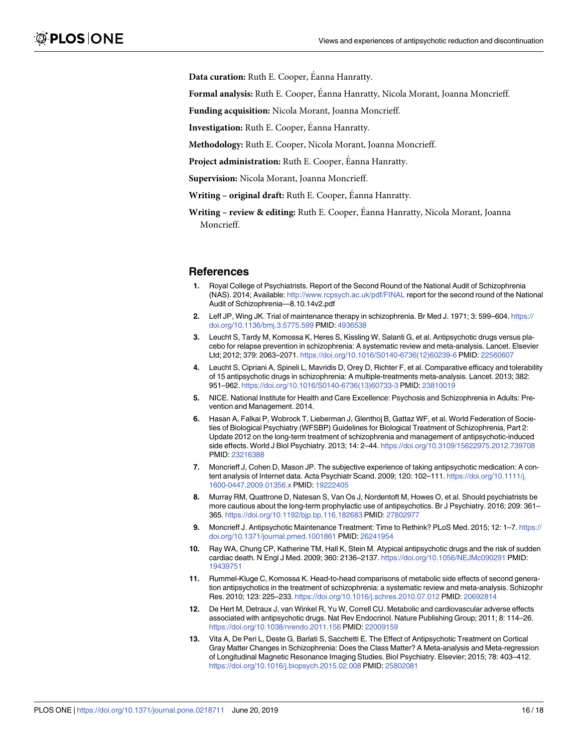<span id="page-15-0"></span>Data curation: Ruth E. Cooper, Eanna Hanratty.

Formal analysis: Ruth E. Cooper, Eanna Hanratty, Nicola Morant, Joanna Moncrieff.

**Funding acquisition:** Nicola Morant, Joanna Moncrieff.

**Investigation:** Ruth E. Cooper, Eanna Hanratty.

**Methodology:** Ruth E. Cooper, Nicola Morant, Joanna Moncrieff.

**Project administration:** Ruth E. Cooper, Eanna Hanratty.

**Supervision:** Nicola Morant, Joanna Moncrieff.

**Writing – original draft:** Ruth E. Cooper, E´anna Hanratty.

**Writing – review & editing:** Ruth E. Cooper, E´anna Hanratty, Nicola Morant, Joanna Moncrieff.

#### **References**

- **[1](#page-1-0).** Royal College of Psychiatrists. Report of the Second Round of the National Audit of Schizophrenia (NAS). 2014; Available: <http://www.rcpsych.ac.uk/pdf/FINAL> report for the second round of the National Audit of Schizophrenia—8.10.14v2.pdf
- **[2](#page-1-0).** Leff JP, Wing JK. Trial of maintenance therapy in schizophrenia. Br Med J. 1971; 3: 599–604. [https://](https://doi.org/10.1136/bmj.3.5775.599) [doi.org/10.1136/bmj.3.5775.599](https://doi.org/10.1136/bmj.3.5775.599) PMID: [4936538](http://www.ncbi.nlm.nih.gov/pubmed/4936538)
- **3.** Leucht S, Tardy M, Komossa K, Heres S, Kissling W, Salanti G, et al. Antipsychotic drugs versus placebo for relapse prevention in schizophrenia: A systematic review and meta-analysis. Lancet. Elsevier Ltd; 2012; 379: 2063–2071. [https://doi.org/10.1016/S0140-6736\(12\)60239-6](https://doi.org/10.1016/S0140-6736(12)60239-6) PMID: [22560607](http://www.ncbi.nlm.nih.gov/pubmed/22560607)
- **[4](#page-1-0).** Leucht S, Cipriani A, Spineli L, Mavridis D, Orey D, Richter F, et al. Comparative efficacy and tolerability of 15 antipsychotic drugs in schizophrenia: A multiple-treatments meta-analysis. Lancet. 2013; 382: 951–962. [https://doi.org/10.1016/S0140-6736\(13\)60733-3](https://doi.org/10.1016/S0140-6736(13)60733-3) PMID: [23810019](http://www.ncbi.nlm.nih.gov/pubmed/23810019)
- **[5](#page-1-0).** NICE. National Institute for Health and Care Excellence: Psychosis and Schizophrenia in Adults: Prevention and Management. 2014.
- **[6](#page-1-0).** Hasan A, Falkai P, Wobrock T, Lieberman J, Glenthoj B, Gattaz WF, et al. World Federation of Societies of Biological Psychiatry (WFSBP) Guidelines for Biological Treatment of Schizophrenia, Part 2: Update 2012 on the long-term treatment of schizophrenia and management of antipsychotic-induced side effects. World J Biol Psychiatry. 2013; 14: 2–44. <https://doi.org/10.3109/15622975.2012.739708> PMID: [23216388](http://www.ncbi.nlm.nih.gov/pubmed/23216388)
- **[7](#page-1-0).** Moncrieff J, Cohen D, Mason JP. The subjective experience of taking antipsychotic medication: A content analysis of Internet data. Acta Psychiatr Scand. 2009; 120: 102–111. [https://doi.org/10.1111/j.](https://doi.org/10.1111/j.1600-0447.2009.01356.x) [1600-0447.2009.01356.x](https://doi.org/10.1111/j.1600-0447.2009.01356.x) PMID: [19222405](http://www.ncbi.nlm.nih.gov/pubmed/19222405)
- **[8](#page-1-0).** Murray RM, Quattrone D, Natesan S, Van Os J, Nordentoft M, Howes O, et al. Should psychiatrists be more cautious about the long-term prophylactic use of antipsychotics. Br J Psychiatry. 2016; 209: 361– 365. <https://doi.org/10.1192/bjp.bp.116.182683> PMID: [27802977](http://www.ncbi.nlm.nih.gov/pubmed/27802977)
- **[9](#page-1-0).** Moncrieff J. Antipsychotic Maintenance Treatment: Time to Rethink? PLoS Med. 2015; 12: 1–7. [https://](https://doi.org/10.1371/journal.pmed.1001861) [doi.org/10.1371/journal.pmed.1001861](https://doi.org/10.1371/journal.pmed.1001861) PMID: [26241954](http://www.ncbi.nlm.nih.gov/pubmed/26241954)
- **[10](#page-1-0).** Ray WA, Chung CP, Katherine TM, Hall K, Stein M. Atypical antipsychotic drugs and the risk of sudden cardiac death. N Engl J Med. 2009; 360: 2136–2137. <https://doi.org/10.1056/NEJMc090291> PMID: [19439751](http://www.ncbi.nlm.nih.gov/pubmed/19439751)
- **[11](#page-1-0).** Rummel-Kluge C, Komossa K. Head-to-head comparisons of metabolic side effects of second generation antipsychotics in the treatment of schizophrenia: a systematic review and meta-analysis. Schizophr Res. 2010; 123: 225–233. <https://doi.org/10.1016/j.schres.2010.07.012> PMID: [20692814](http://www.ncbi.nlm.nih.gov/pubmed/20692814)
- **[12](#page-1-0).** De Hert M, Detraux J, van Winkel R, Yu W, Correll CU. Metabolic and cardiovascular adverse effects associated with antipsychotic drugs. Nat Rev Endocrinol. Nature Publishing Group; 2011; 8: 114–26. <https://doi.org/10.1038/nrendo.2011.156> PMID: [22009159](http://www.ncbi.nlm.nih.gov/pubmed/22009159)
- **[13](#page-1-0).** Vita A, De Peri L, Deste G, Barlati S, Sacchetti E. The Effect of Antipsychotic Treatment on Cortical Gray Matter Changes in Schizophrenia: Does the Class Matter? A Meta-analysis and Meta-regression of Longitudinal Magnetic Resonance Imaging Studies. Biol Psychiatry. Elsevier; 2015; 78: 403–412. <https://doi.org/10.1016/j.biopsych.2015.02.008> PMID: [25802081](http://www.ncbi.nlm.nih.gov/pubmed/25802081)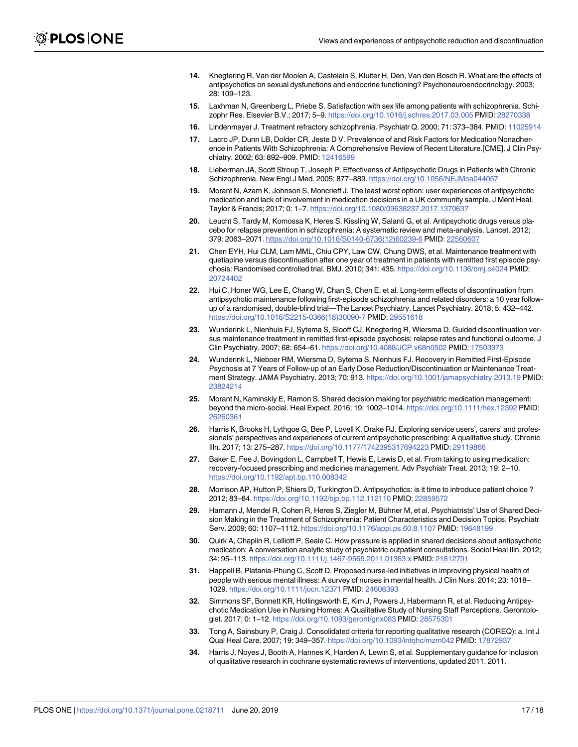- <span id="page-16-0"></span>**[14](#page-1-0).** Knegtering R, Van der Moolen A, Castelein S, Kluiter H, Den, Van den Bosch R. What are the effects of antipsychotics on sexual dysfunctions and endocrine functioning? Psychoneuroendocrinology. 2003; 28: 109–123.
- **[15](#page-1-0).** Laxhman N, Greenberg L, Priebe S. Satisfaction with sex life among patients with schizophrenia. Schizophr Res. Elsevier B.V.; 2017; 5–9. <https://doi.org/10.1016/j.schres.2017.03.005> PMID: [28270338](http://www.ncbi.nlm.nih.gov/pubmed/28270338)
- **[16](#page-1-0).** Lindenmayer J. Treatment refractory schizophrenia. Psychiatr Q. 2000; 71: 373–384. PMID: [11025914](http://www.ncbi.nlm.nih.gov/pubmed/11025914)
- **[17](#page-1-0).** Lacro JP, Dunn LB, Dolder CR, Jeste D V. Prevalence of and Risk Factors for Medication Nonadherence in Patients With Schizophrenia: A Comprehensive Review of Recent Literature.[CME]. J Clin Psychiatry. 2002; 63: 892–909. PMID: [12416599](http://www.ncbi.nlm.nih.gov/pubmed/12416599)
- **[18](#page-1-0).** Lieberman JA, Scott Stroup T, Joseph P. Effectivenss of Antipsychotic Drugs in Patients with Chronic Schizophrenia. New Engl J Med. 2005; 877–889. <https://doi.org/10.1056/NEJMoa044057>
- **[19](#page-1-0).** Morant N, Azam K, Johnson S, Moncrieff J. The least worst option: user experiences of antipsychotic medication and lack of involvement in medication decisions in a UK community sample. J Ment Heal. Taylor & Francis; 2017; 0: 1–7. <https://doi.org/10.1080/09638237.2017.1370637>
- **[20](#page-1-0).** Leucht S, Tardy M, Komossa K, Heres S, Kissling W, Salanti G, et al. Antipsychotic drugs versus placebo for relapse prevention in schizophrenia: A systematic review and meta-analysis. Lancet. 2012; 379: 2063–2071. [https://doi.org/10.1016/S0140-6736\(12\)60239-6](https://doi.org/10.1016/S0140-6736(12)60239-6) PMID: [22560607](http://www.ncbi.nlm.nih.gov/pubmed/22560607)
- **21.** Chen EYH, Hui CLM, Lam MML, Chiu CPY, Law CW, Chung DWS, et al. Maintenance treatment with quetiapine versus discontinuation after one year of treatment in patients with remitted first episode psychosis: Randomised controlled trial. BMJ. 2010; 341: 435. <https://doi.org/10.1136/bmj.c4024> PMID: [20724402](http://www.ncbi.nlm.nih.gov/pubmed/20724402)
- **[22](#page-1-0).** Hui C, Honer WG, Lee E, Chang W, Chan S, Chen E, et al. Long-term effects of discontinuation from antipsychotic maintenance following first-episode schizophrenia and related disorders: a 10 year followup of a randomised, double-blind trial—The Lancet Psychiatry. Lancet Psychiatry. 2018; 5: 432–442. [https://doi.org/10.1016/S2215-0366\(18\)30090-7](https://doi.org/10.1016/S2215-0366(18)30090-7) PMID: [29551618](http://www.ncbi.nlm.nih.gov/pubmed/29551618)
- **[23](#page-1-0).** Wunderink L, Nienhuis FJ, Sytema S, Slooff CJ, Knegtering R, Wiersma D. Guided discontinuation versus maintenance treatment in remitted first-episode psychosis: relapse rates and functional outcome. J Clin Psychiatry. 2007; 68: 654–61. <https://doi.org/10.4088/JCP.v68n0502> PMID: [17503973](http://www.ncbi.nlm.nih.gov/pubmed/17503973)
- **[24](#page-1-0).** Wunderink L, Nieboer RM, Wiersma D, Sytema S, Nienhuis FJ. Recovery in Remitted First-Episode Psychosis at 7 Years of Follow-up of an Early Dose Reduction/Discontinuation or Maintenance Treatment Strategy. JAMA Psychiatry. 2013; 70: 913. <https://doi.org/10.1001/jamapsychiatry.2013.19> PMID: [23824214](http://www.ncbi.nlm.nih.gov/pubmed/23824214)
- **[25](#page-1-0).** Morant N, Kaminskiy E, Ramon S. Shared decision making for psychiatric medication management: beyond the micro-social. Heal Expect. 2016; 19: 1002–1014. <https://doi.org/10.1111/hex.12392> PMID: [26260361](http://www.ncbi.nlm.nih.gov/pubmed/26260361)
- **[26](#page-1-0).** Harris K, Brooks H, Lythgoe G, Bee P, Lovell K, Drake RJ. Exploring service users', carers' and professionals' perspectives and experiences of current antipsychotic prescribing: A qualitative study. Chronic Illn. 2017; 13: 275–287. <https://doi.org/10.1177/1742395317694223> PMID: [29119866](http://www.ncbi.nlm.nih.gov/pubmed/29119866)
- **27.** Baker E, Fee J, Bovingdon L, Campbell T, Hewis E, Lewis D, et al. From taking to using medication: recovery-focused prescribing and medicines management. Adv Psychiatr Treat. 2013; 19: 2–10. <https://doi.org/10.1192/apt.bp.110.008342>
- **[28](#page-1-0).** Morrison AP, Hutton P, Shiers D, Turkington D. Antipsychotics: is it time to introduce patient choice ? 2012; 83–84. <https://doi.org/10.1192/bjp.bp.112.112110> PMID: [22859572](http://www.ncbi.nlm.nih.gov/pubmed/22859572)
- **[29](#page-1-0).** Hamann J, Mendel R, Cohen R, Heres S, Ziegler M, Bühner M, et al. Psychiatrists' Use of Shared Decision Making in the Treatment of Schizophrenia: Patient Characteristics and Decision Topics. Psychiatr Serv. 2009; 60: 1107–1112. <https://doi.org/10.1176/appi.ps.60.8.1107> PMID: [19648199](http://www.ncbi.nlm.nih.gov/pubmed/19648199)
- **[30](#page-1-0).** Quirk A, Chaplin R, Lelliott P, Seale C. How pressure is applied in shared decisions about antipsychotic medication: A conversation analytic study of psychiatric outpatient consultations. Sociol Heal Illn. 2012; 34: 95–113. <https://doi.org/10.1111/j.1467-9566.2011.01363.x> PMID: [21812791](http://www.ncbi.nlm.nih.gov/pubmed/21812791)
- **[31](#page-2-0).** Happell B, Platania-Phung C, Scott D. Proposed nurse-led initiatives in improving physical health of people with serious mental illness: A survey of nurses in mental health. J Clin Nurs. 2014; 23: 1018– 1029. <https://doi.org/10.1111/jocn.12371> PMID: [24606393](http://www.ncbi.nlm.nih.gov/pubmed/24606393)
- **[32](#page-2-0).** Simmons SF, Bonnett KR, Hollingsworth E, Kim J, Powers J, Habermann R, et al. Reducing Antipsychotic Medication Use in Nursing Homes: A Qualitative Study of Nursing Staff Perceptions. Gerontologist. 2017; 0: 1–12. <https://doi.org/10.1093/geront/gnx083> PMID: [28575301](http://www.ncbi.nlm.nih.gov/pubmed/28575301)
- **[33](#page-2-0).** Tong A, Sainsbury P, Craig J. Consolidated criteria for reporting qualitative research (COREQ): a. Int J Qual Heal Care. 2007; 19: 349–357. <https://doi.org/10.1093/intqhc/mzm042> PMID: [17872937](http://www.ncbi.nlm.nih.gov/pubmed/17872937)
- **[34](#page-2-0).** Harris J, Noyes J, Booth A, Hannes K, Harden A, Lewin S, et al. Supplementary guidance for inclusion of qualitative research in cochrane systematic reviews of interventions, updated 2011. 2011.